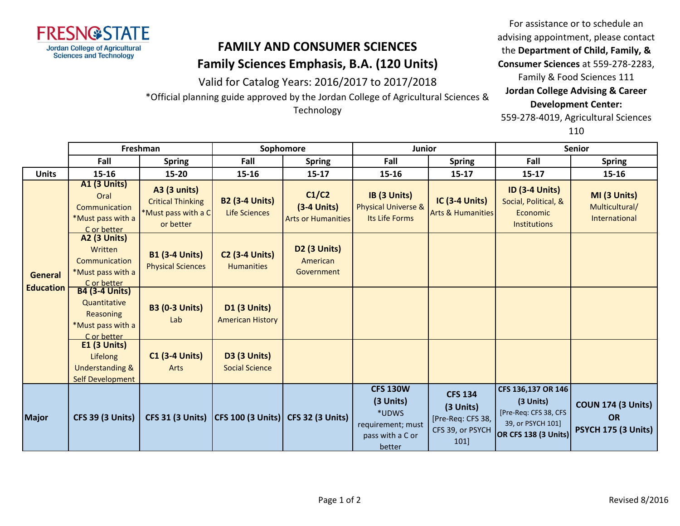

## **FAMILY AND CONSUMER SCIENCES Family Sciences Emphasis, B.A. (120 Units)**

Valid for Catalog Years: 2016/2017 to 2017/2018

\*Official planning guide approved by the Jordan College of Agricultural Sciences &

Technology

For assistance or to schedule an advising appointment, please contact the **Department of Child, Family, & Consumer Sciences** at 559-278-2283, Family & Food Sciences 111 **Jordan College Advising & Career Development Center:** 559-278-4019, Agricultural Sciences

110

|                                    | Freshman                                                                                       |                                                                                     | Sophomore                                      |                                                     | <b>Junior</b>                                                                            |                                                                                    | <b>Senior</b>                                                                                         |                                                               |
|------------------------------------|------------------------------------------------------------------------------------------------|-------------------------------------------------------------------------------------|------------------------------------------------|-----------------------------------------------------|------------------------------------------------------------------------------------------|------------------------------------------------------------------------------------|-------------------------------------------------------------------------------------------------------|---------------------------------------------------------------|
|                                    | Fall                                                                                           | <b>Spring</b>                                                                       | Fall                                           | <b>Spring</b>                                       | Fall                                                                                     | <b>Spring</b>                                                                      | Fall                                                                                                  | <b>Spring</b>                                                 |
| <b>Units</b>                       | 15-16                                                                                          | 15-20                                                                               | 15-16                                          | $15 - 17$                                           | 15-16                                                                                    | $15 - 17$                                                                          | $15 - 17$                                                                                             | 15-16                                                         |
| <b>General</b><br><b>Education</b> | <b>A1 (3 Units)</b><br>Oral<br>Communication<br>*Must pass with a<br>C or better               | <b>A3 (3 units)</b><br><b>Critical Thinking</b><br>*Must pass with a C<br>or better | <b>B2 (3-4 Units)</b><br><b>Life Sciences</b>  | C1/C2<br>$(3-4$ Units)<br><b>Arts or Humanities</b> | IB (3 Units)<br><b>Physical Universe &amp;</b><br>Its Life Forms                         | <b>IC (3-4 Units)</b><br><b>Arts &amp; Humanities</b>                              | <b>ID (3-4 Units)</b><br>Social, Political, &<br><b>Economic</b><br><b>Institutions</b>               | MI (3 Units)<br>Multicultural/<br>International               |
|                                    | A2 (3 Units)<br>Written<br>Communication<br>*Must pass with a                                  | <b>B1 (3-4 Units)</b><br><b>Physical Sciences</b>                                   | <b>C2 (3-4 Units)</b><br><b>Humanities</b>     | <b>D2 (3 Units)</b><br>American<br>Government       |                                                                                          |                                                                                    |                                                                                                       |                                                               |
|                                    | C or better<br>B4 (3-4 Units)<br>Quantitative<br>Reasoning<br>*Must pass with a<br>C or better | <b>B3 (0-3 Units)</b><br>Lab                                                        | <b>D1 (3 Units)</b><br><b>American History</b> |                                                     |                                                                                          |                                                                                    |                                                                                                       |                                                               |
|                                    | $E1$ (3 Units)<br>Lifelong<br><b>Understanding &amp;</b><br><b>Self Development</b>            | <b>C1 (3-4 Units)</b><br>Arts                                                       | <b>D3 (3 Units)</b><br><b>Social Science</b>   |                                                     |                                                                                          |                                                                                    |                                                                                                       |                                                               |
| <b>Major</b>                       | <b>CFS 39 (3 Units)</b>                                                                        | <b>CFS 31 (3 Units)</b>                                                             | CFS 100 (3 Units) CFS 32 (3 Units)             |                                                     | <b>CFS 130W</b><br>(3 Units)<br>*UDWS<br>requirement; must<br>pass with a C or<br>better | <b>CFS 134</b><br>(3 Units)<br>[Pre-Req: CFS 38,<br>CFS 39, or PSYCH<br><b>101</b> | CFS 136,137 OR 146<br>(3 Units)<br>[Pre-Req: CFS 38, CFS<br>39, or PSYCH 101]<br>OR CFS 138 (3 Units) | <b>COUN 174 (3 Units)</b><br><b>OR</b><br>PSYCH 175 (3 Units) |